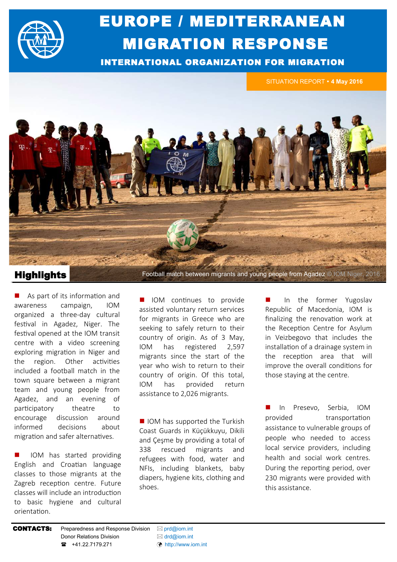

# EUROPE / MEDITERRANEAN MIGRATION RESPONSE

INTERNATIONAL ORGANIZATION FOR MIGRATION

SITUATION REPORT **4 May 2016**



Highlights Football match between migrants and young people from Agadez © IOM Niger, 2016

 As part of its information and awareness campaign, IOM organized a three-day cultural festival in Agadez, Niger. The festival opened at the IOM transit centre with a video screening exploring migration in Niger and the region. Other activities included a football match in the town square between a migrant team and young people from Agadez, and an evening of participatory theatre to encourage discussion around informed decisions about migration and safer alternatives.

 IOM has started providing English and Croatian language classes to those migrants at the Zagreb reception centre. Future classes will include an introduction to basic hygiene and cultural orientation.

**IOM** continues to provide assisted voluntary return services for migrants in Greece who are seeking to safely return to their country of origin. As of 3 May, IOM has registered 2,597 migrants since the start of the year who wish to return to their country of origin. Of this total, IOM has provided return assistance to 2,026 migrants.

■ IOM has supported the Turkish Coast Guards in Küçükkuyu, Dikili and Çeşme by providing a total of 338 rescued migrants and refugees with food, water and NFIs, including blankets, baby diapers, hygiene kits, clothing and shoes.

 In the former Yugoslav Republic of Macedonia, IOM is finalizing the renovation work at the Reception Centre for Asylum in Veizbegovo that includes the installation of a drainage system in the reception area that will improve the overall conditions for those staying at the centre.

 In Presevo, Serbia, IOM provided transportation assistance to vulnerable groups of people who needed to access local service providers, including health and social work centres. During the reporting period, over 230 migrants were provided with this assistance.

#### **CONTACTS:** Preparedness and Response Division  $\boxtimes$  [prd@iom.int](mailto:prd@IOM.INT)

Donor Relations Division **and Solution** ⊠ [drd@iom.int](mailto:DRD@IOM.INT) **■** +41.22.7179.271 ([http://www.iom.int](http://www.iom.int/countries/yemen)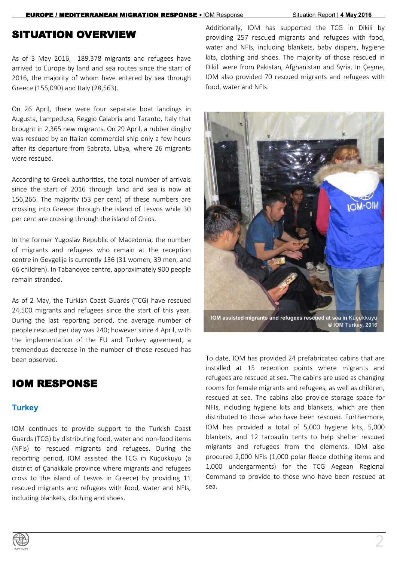### SITUATION OVERVIEW

As of 3 May 2016, 189,378 migrants and refugees have arrived to Europe by land and sea routes since the start of 2016, the majority of whom have entered by sea through Greece (155,090) and Italy (28,563).

On 26 April, there were four separate boat landings in Augusta, Lampedusa, Reggio Calabria and Taranto, Italy that brought in 2,365 new migrants. On 29 April, a rubber dinghy was rescued by an Italian commercial ship only a few hours after its departure from Sabrata, Libya, where 26 migrants were rescued.

According to Greek authorities, the total number of arrivals since the start of 2016 through land and sea is now at 156,266. The majority (53 per cent) of these numbers are crossing into Greece through the island of Lesvos while 30 per cent are crossing through the island of Chios.

In the former Yugoslav Republic of Macedonia, the number of migrants and refugees who remain at the reception centre in Gevgelija is currently 136 (31 women, 39 men, and 66 children). In Tabanovce centre, approximately 900 people remain stranded.

As of 2 May, the Turkish Coast Guards (TCG) have rescued 24,500 migrants and refugees since the start of this year. During the last reporting period, the average number of people rescued per day was 240; however since 4 April, with the implementation of the EU and Turkey agreement, a tremendous decrease in the number of those rescued has been observed.

## IOM RESPONSE

#### **Turkey**

IOM continues to provide support to the Turkish Coast Guards (TCG) by distributing food, water and non-food items (NFIs) to rescued migrants and refugees. During the reporting period, IOM assisted the TCG in Küçükkuyu (a district of Çanakkale province where migrants and refugees cross to the island of Lesvos in Greece) by providing 11 rescued migrants and refugees with food, water and NFIs, including blankets, clothing and shoes.

Additionally, IOM has supported the TCG in Dikili by providing 257 rescued migrants and refugees with food, water and NFIs, including blankets, baby diapers, hygiene kits, clothing and shoes. The majority of those rescued in Dikili were from Pakistan, Afghanistan and Syria. In Çeşme, IOM also provided 70 rescued migrants and refugees with food, water and NFIs.



To date, IOM has provided 24 prefabricated cabins that are installed at 15 reception points where migrants and refugees are rescued at sea. The cabins are used as changing rooms for female migrants and refugees, as well as children, rescued at sea. The cabins also provide storage space for NFIs, including hygiene kits and blankets, which are then distributed to those who have been rescued. Furthermore, IOM has provided a total of 5,000 hygiene kits, 5,000 blankets, and 12 tarpaulin tents to help shelter rescued migrants and refugees from the elements. IOM also procured 2,000 NFIs (1,000 polar fleece clothing items and 1,000 undergarments) for the TCG Aegean Regional Command to provide to those who have been rescued at sea.

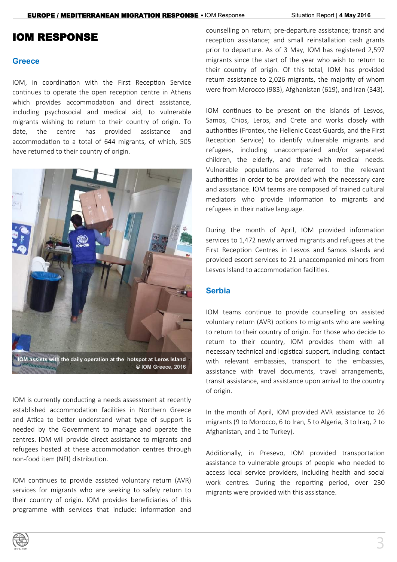## IOM RESPONSE

#### **Greece**

IOM, in coordination with the First Reception Service continues to operate the open reception centre in Athens which provides accommodation and direct assistance, including psychosocial and medical aid, to vulnerable migrants wishing to return to their country of origin. To date, the centre has provided assistance and accommodation to a total of 644 migrants, of which, 505 have returned to their country of origin.



IOM is currently conducting a needs assessment at recently established accommodation facilities in Northern Greece and Attica to better understand what type of support is needed by the Government to manage and operate the centres. IOM will provide direct assistance to migrants and refugees hosted at these accommodation centres through non-food item (NFI) distribution.

IOM continues to provide assisted voluntary return (AVR) services for migrants who are seeking to safely return to their country of origin. IOM provides beneficiaries of this programme with services that include: information and counselling on return; pre-departure assistance; transit and reception assistance; and small reinstallation cash grants prior to departure. As of 3 May, IOM has registered 2,597 migrants since the start of the year who wish to return to their country of origin. Of this total, IOM has provided return assistance to 2,026 migrants, the majority of whom were from Morocco (983), Afghanistan (619), and Iran (343).

IOM continues to be present on the islands of Lesvos, Samos, Chios, Leros, and Crete and works closely with authorities (Frontex, the Hellenic Coast Guards, and the First Reception Service) to identify vulnerable migrants and refugees, including unaccompanied and/or separated children, the elderly, and those with medical needs. Vulnerable populations are referred to the relevant authorities in order to be provided with the necessary care and assistance. IOM teams are composed of trained cultural mediators who provide information to migrants and refugees in their native language.

During the month of April, IOM provided information services to 1,472 newly arrived migrants and refugees at the First Reception Centres in Lesvos and Samos islands and provided escort services to 21 unaccompanied minors from Lesvos Island to accommodation facilities.

#### **Serbia**

IOM teams continue to provide counselling on assisted voluntary return (AVR) options to migrants who are seeking to return to their country of origin. For those who decide to return to their country, IOM provides them with all necessary technical and logistical support, including: contact with relevant embassies, transport to the embassies, assistance with travel documents, travel arrangements, transit assistance, and assistance upon arrival to the country of origin.

In the month of April, IOM provided AVR assistance to 26 migrants (9 to Morocco, 6 to Iran, 5 to Algeria, 3 to Iraq, 2 to Afghanistan, and 1 to Turkey).

Additionally, in Presevo, IOM provided transportation assistance to vulnerable groups of people who needed to access local service providers, including health and social work centres. During the reporting period, over 230 migrants were provided with this assistance.

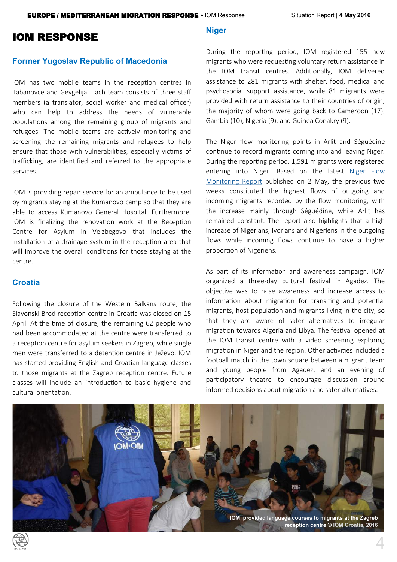### IOM RESPONSE

#### **Former Yugoslav Republic of Macedonia**

IOM has two mobile teams in the reception centres in Tabanovce and Gevgelija. Each team consists of three staff members (a translator, social worker and medical officer) who can help to address the needs of vulnerable populations among the remaining group of migrants and refugees. The mobile teams are actively monitoring and screening the remaining migrants and refugees to help ensure that those with vulnerabilities, especially victims of trafficking, are identified and referred to the appropriate services.

IOM is providing repair service for an ambulance to be used by migrants staying at the Kumanovo camp so that they are able to access Kumanovo General Hospital. Furthermore, IOM is finalizing the renovation work at the Reception Centre for Asylum in Veizbegovo that includes the installation of a drainage system in the reception area that will improve the overall conditions for those staying at the centre.

#### **Croatia**

Following the closure of the Western Balkans route, the Slavonski Brod reception centre in Croatia was closed on 15 April. At the time of closure, the remaining 62 people who had been accommodated at the centre were transferred to a reception centre for asylum seekers in Zagreb, while single men were transferred to a detention centre in Ježevo. IOM has started providing English and Croatian language classes to those migrants at the Zagreb reception centre. Future classes will include an introduction to basic hygiene and cultural orientation.

#### **Niger**

During the reporting period, IOM registered 155 new migrants who were requesting voluntary return assistance in the IOM transit centres. Additionally, IOM delivered assistance to 281 migrants with shelter, food, medical and psychosocial support assistance, while 81 migrants were provided with return assistance to their countries of origin, the majority of whom were going back to Cameroon (17), Gambia (10), Nigeria (9), and Guinea Conakry (9).

The Niger flow monitoring points in Arlit and Séguédine continue to record migrants coming into and leaving Niger. During the reporting period, 1,591 migrants were registered entering into Niger. Based on the latest [Niger Flow](http://dtmodk.iom.int/docs/NIGER_IOM_FMP_EN_report_26Apr-2May2016.pdf)  [Monitoring Report](http://dtmodk.iom.int/docs/NIGER_IOM_FMP_EN_report_26Apr-2May2016.pdf) published on 2 May, the previous two weeks constituted the highest flows of outgoing and incoming migrants recorded by the flow monitoring, with the increase mainly through Séguédine, while Arlit has remained constant. The report also highlights that a high increase of Nigerians, Ivorians and Nigeriens in the outgoing flows while incoming flows continue to have a higher proportion of Nigeriens.

As part of its information and awareness campaign, IOM organized a three-day cultural festival in Agadez. The objective was to raise awareness and increase access to information about migration for transiting and potential migrants, host population and migrants living in the city, so that they are aware of safer alternatives to irregular migration towards Algeria and Libya. The festival opened at the IOM transit centre with a video screening exploring migration in Niger and the region. Other activities included a football match in the town square between a migrant team and young people from Agadez, and an evening of participatory theatre to encourage discussion around informed decisions about migration and safer alternatives.



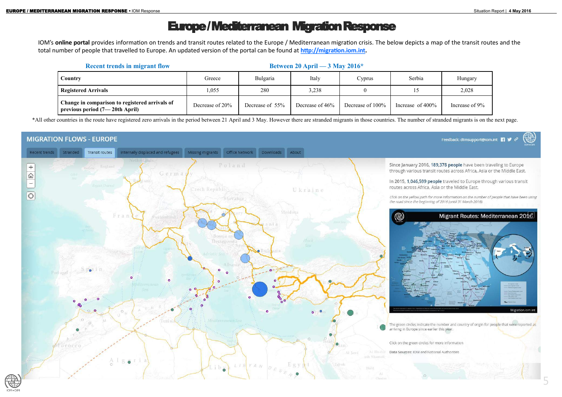# Europe / Mediterranean Migration Response

IOM's **online portal** provides information on trends and transit routes related to the Europe / Mediterranean migration crisis. The below depicts a map of the transit routes and the total number of people that travelled to Europe. An updated version of the portal can be found at **[http://migration.iom.int.](http://migration.iom.int)** 

**MIGRATION FLOWS - EUROPE** 

Portugal

 $\circ$ 

\*All other countries in the route have registered zero arrivals in the period between 21 April and 3 May. However there are stranded migrants in those countries. The number of stranded migrants is on the next page.

Downloads About

Ukraine

 $\bullet$ 

### Internally displaced and refugees Recent trends Stranded Transit routes Poland  $+$ Germa  $\widehat{\omega}$  $\overline{\phantom{0}}$  $\boxed{\bigcirc}$ Slovakia Frai

ö

 $\circ$ 



arriving in Europe since earlier this year.

Click on the green circles for more information

Al Hudu

The green circles indicate the number and country of origin for people that were reported as

Data Sources: IOM and National Authorities

|  | <b>Recent trends in migrant flow</b>                                             |                 | Between 20 April — $3$ May 2016* |                 |                  |                     |                |  |
|--|----------------------------------------------------------------------------------|-----------------|----------------------------------|-----------------|------------------|---------------------|----------------|--|
|  | Country                                                                          | Greece          | Bulgaria                         | Italy           | Cyprus           | Serbia              | Hungary        |  |
|  | <b>Registered Arrivals</b>                                                       | 1,055           | 280                              | 3,238           |                  |                     | 2,028          |  |
|  | Change in comparison to registered arrivals of<br>previous period (7—20th April) | Decrease of 20% | Decrease of 55%                  | Decrease of 46% | Decrease of 100% | Increase of $400\%$ | Increase of 9% |  |